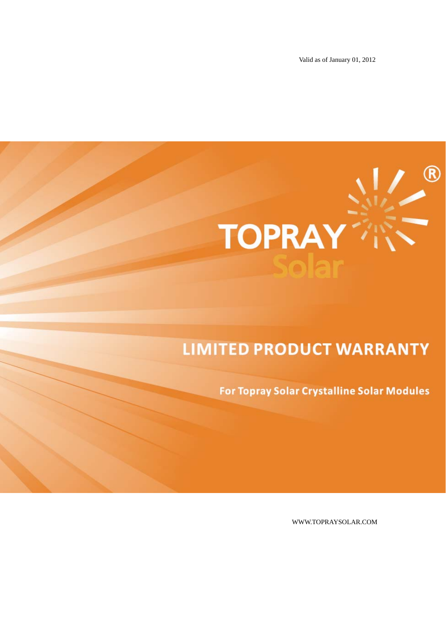Valid as of January 01, 2012



# **LIMITED PRODUCT WARRANTY**

**For Topray Solar Crystalline Solar Modules** 

WWW.TOPRAYSOLAR.COM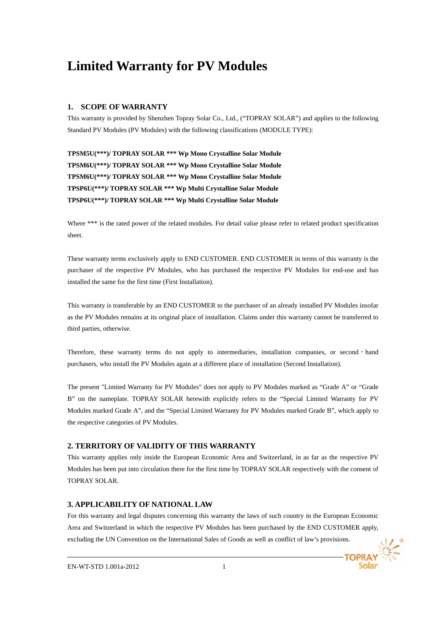# **Limited Warranty for PV Modules**

#### **1. SCOPE OF WARRANTY**

This warranty is provided by Shenzhen Topray Solar Co., Ltd., ("TOPRAY SOLAR") and applies to the following Standard PV Modules (PV Modules) with the following classifications (MODULE TYPE):

**TPSM5U(\*\*\*)/ TOPRAY SOLAR \*\*\* Wp Mono Crystalline Solar Module TPSM6U(\*\*\*)/ TOPRAY SOLAR \*\*\* Wp Mono Crystalline Solar Module TPSM6U(\*\*\*)/ TOPRAY SOLAR \*\*\* Wp Mono Crystalline Solar Module TPSP6U(\*\*\*)/ TOPRAY SOLAR \*\*\* Wp Multi Crystalline Solar Module TPSP6U(\*\*\*)/ TOPRAY SOLAR \*\*\* Wp Multi Crystalline Solar Module** 

Where \*\*\* is the rated power of the related modules. For detail value please refer to related product specification sheet.

These warranty terms exclusively apply to END CUSTOMER. END CUSTOMER in terms of this warranty is the purchaser of the respective PV Modules, who has purchased the respective PV Modules for end-use and has installed the same for the first time (First Installation).

This warranty is transferable by an END CUSTOMER to the purchaser of an already installed PV Modules insofar as the PV Modules remains at its original place of installation. Claims under this warranty cannot be transferred to third parties, otherwise.

Therefore, these warranty terms do not apply to intermediaries, installation companies, or second - hand purchasers, who install the PV Modules again at a different place of installation (Second Installation).

The present "Limited Warranty for PV Modules" does not apply to PV Modules marked as "Grade A" or "Grade B" on the nameplate. TOPRAY SOLAR herewith explicitly refers to the "Special Limited Warranty for PV Modules marked Grade A", and the "Special Limited Warranty for PV Modules marked Grade B", which apply to the respective categories of PV Modules.

# **2. TERRITORY OF VALIDITY OF THIS WARRANTY**

This warranty applies only inside the European Economic Area and Switzerland, in as far as the respective PV Modules has been put into circulation there for the first time by TOPRAY SOLAR respectively with the consent of TOPRAY SOLAR.

# **3. APPLICABILITY OF NATIONAL LAW**

For this warranty and legal disputes concerning this warranty the laws of such country in the European Economic Area and Switzerland in which the respective PV Modules has been purchased by the END CUSTOMER apply, excluding the UN Convention on the International Sales of Goods as well as conflict of law's provisions.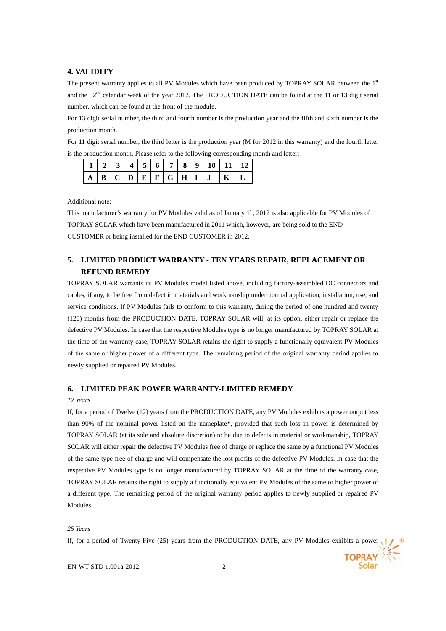#### **4. VALIDITY**

The present warranty applies to all PV Modules which have been produced by TOPRAY SOLAR between the 1st and the  $52<sup>nd</sup>$  calendar week of the year 2012. The PRODUCTION DATE can be found at the 11 or 13 digit serial number, which can be found at the front of the module.

For 13 digit serial number, the third and fourth number is the production year and the fifth and sixth number is the production month.

For 11 digit serial number, the third letter is the production year (M for 2012 in this warranty) and the fourth letter is the production month. Please refer to the following corresponding month and letter:

Additional note:

This manufacturer's warranty for PV Modules valid as of January  $1<sup>st</sup>$ , 2012 is also applicable for PV Modules of TOPRAY SOLAR which have been manufactured in 2011 which, however, are being sold to the END CUSTOMER or being installed for the END CUSTOMER in 2012.

# **5. LIMITED PRODUCT WARRANTY - TEN YEARS REPAIR, REPLACEMENT OR REFUND REMEDY**

TOPRAY SOLAR warrants its PV Modules model listed above, including factory-assembled DC connectors and cables, if any, to be free from defect in materials and workmanship under normal application, installation, use, and service conditions. If PV Modules fails to conform to this warranty, during the period of one hundred and twenty (120) months from the PRODUCTION DATE, TOPRAY SOLAR will, at its option, either repair or replace the defective PV Modules. In case that the respective Modules type is no longer manufactured by TOPRAY SOLAR at the time of the warranty case, TOPRAY SOLAR retains the right to supply a functionally equivalent PV Modules of the same or higher power of a different type. The remaining period of the original warranty period applies to newly supplied or repaired PV Modules.

#### **6. LIMITED PEAK POWER WARRANTY-LIMITED REMEDY**

#### *12 Years*

If, for a period of Twelve (12) years from the PRODUCTION DATE, any PV Modules exhibits a power output less than 90% of the nominal power listed on the nameplate\*, provided that such loss in power is determined by TOPRAY SOLAR (at its sole and absolute discretion) to be due to defects in material or workmanship, TOPRAY SOLAR will either repair the defective PV Modules free of charge or replace the same by a functional PV Modules of the same type free of charge and will compensate the lost profits of the defective PV Modules. In case that the respective PV Modules type is no longer manufactured by TOPRAY SOLAR at the time of the warranty case, TOPRAY SOLAR retains the right to supply a functionally equivalent PV Modules of the same or higher power of a different type. The remaining period of the original warranty period applies to newly supplied or repaired PV Modules.

#### *25 Years*

If, for a period of Twenty-Five (25) years from the PRODUCTION DATE, any PV Modules exhibits a power

**TOPRAY**<br>Solar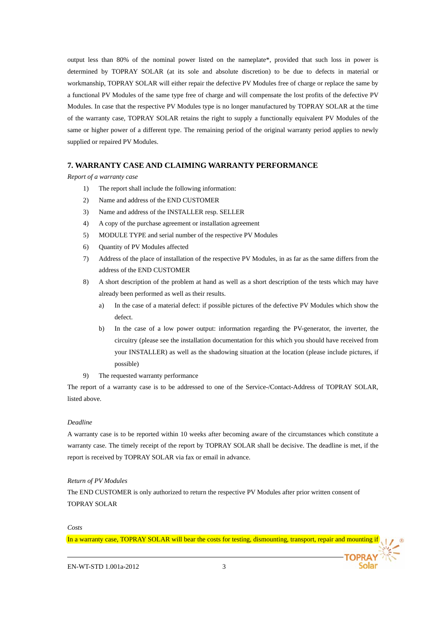output less than 80% of the nominal power listed on the nameplate\*, provided that such loss in power is determined by TOPRAY SOLAR (at its sole and absolute discretion) to be due to defects in material or workmanship, TOPRAY SOLAR will either repair the defective PV Modules free of charge or replace the same by a functional PV Modules of the same type free of charge and will compensate the lost profits of the defective PV Modules. In case that the respective PV Modules type is no longer manufactured by TOPRAY SOLAR at the time of the warranty case, TOPRAY SOLAR retains the right to supply a functionally equivalent PV Modules of the same or higher power of a different type. The remaining period of the original warranty period applies to newly supplied or repaired PV Modules.

#### **7. WARRANTY CASE AND CLAIMING WARRANTY PERFORMANCE**

*Report of a warranty case* 

- 1) The report shall include the following information:
- 2) Name and address of the END CUSTOMER
- 3) Name and address of the INSTALLER resp. SELLER
- 4) A copy of the purchase agreement or installation agreement
- 5) MODULE TYPE and serial number of the respective PV Modules
- 6) Quantity of PV Modules affected
- 7) Address of the place of installation of the respective PV Modules, in as far as the same differs from the address of the END CUSTOMER
- 8) A short description of the problem at hand as well as a short description of the tests which may have already been performed as well as their results.
	- a) In the case of a material defect: if possible pictures of the defective PV Modules which show the defect.
	- b) In the case of a low power output: information regarding the PV-generator, the inverter, the circuitry (please see the installation documentation for this which you should have received from your INSTALLER) as well as the shadowing situation at the location (please include pictures, if possible)
- 9) The requested warranty performance

The report of a warranty case is to be addressed to one of the Service-/Contact-Address of TOPRAY SOLAR, listed above.

#### *Deadline*

A warranty case is to be reported within 10 weeks after becoming aware of the circumstances which constitute a warranty case. The timely receipt of the report by TOPRAY SOLAR shall be decisive. The deadline is met, if the report is received by TOPRAY SOLAR via fax or email in advance.

#### *Return of PV Modules*

The END CUSTOMER is only authorized to return the respective PV Modules after prior written consent of TOPRAY SOLAR

#### *Costs*

In a warranty case, TOPRAY SOLAR will bear the costs for testing, dismounting, transport, repair and mounting if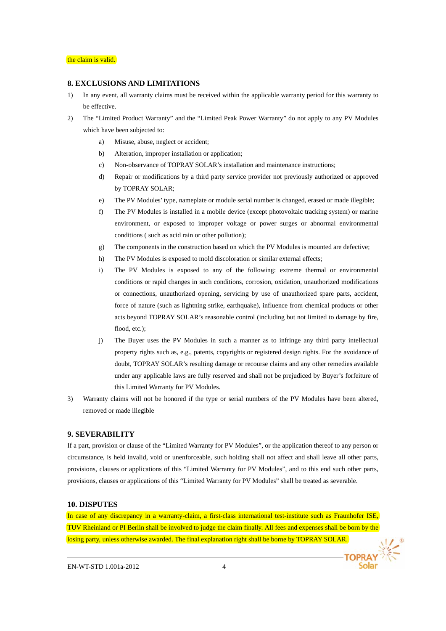#### **8. EXCLUSIONS AND LIMITATIONS**

- 1) In any event, all warranty claims must be received within the applicable warranty period for this warranty to be effective.
- 2) The "Limited Product Warranty" and the "Limited Peak Power Warranty" do not apply to any PV Modules which have been subjected to:
	- a) Misuse, abuse, neglect or accident;
	- b) Alteration, improper installation or application;
	- c) Non-observance of TOPRAY SOLAR's installation and maintenance instructions;
	- d) Repair or modifications by a third party service provider not previously authorized or approved by TOPRAY SOLAR;
	- e) The PV Modules' type, nameplate or module serial number is changed, erased or made illegible;
	- f) The PV Modules is installed in a mobile device (except photovoltaic tracking system) or marine environment, or exposed to improper voltage or power surges or abnormal environmental conditions ( such as acid rain or other pollution);
	- g) The components in the construction based on which the PV Modules is mounted are defective;
	- h) The PV Modules is exposed to mold discoloration or similar external effects;
	- i) The PV Modules is exposed to any of the following: extreme thermal or environmental conditions or rapid changes in such conditions, corrosion, oxidation, unauthorized modifications or connections, unauthorized opening, servicing by use of unauthorized spare parts, accident, force of nature (such as lightning strike, earthquake), influence from chemical products or other acts beyond TOPRAY SOLAR's reasonable control (including but not limited to damage by fire, flood, etc.);
	- j) The Buyer uses the PV Modules in such a manner as to infringe any third party intellectual property rights such as, e.g., patents, copyrights or registered design rights. For the avoidance of doubt, TOPRAY SOLAR's resulting damage or recourse claims and any other remedies available under any applicable laws are fully reserved and shall not be prejudiced by Buyer's forfeiture of this Limited Warranty for PV Modules.
- 3) Warranty claims will not be honored if the type or serial numbers of the PV Modules have been altered, removed or made illegible

#### **9. SEVERABILITY**

If a part, provision or clause of the "Limited Warranty for PV Modules", or the application thereof to any person or circumstance, is held invalid, void or unenforceable, such holding shall not affect and shall leave all other parts, provisions, clauses or applications of this "Limited Warranty for PV Modules", and to this end such other parts, provisions, clauses or applications of this "Limited Warranty for PV Modules" shall be treated as severable.

#### **10. DISPUTES**

In case of any discrepancy in a warranty-claim, a first-class international test-institute such as Fraunhofer ISE, TUV Rheinland or PI Berlin shall be involved to judge the claim finally. All fees and expenses shall be born by the losing party, unless otherwise awarded. The final explanation right shall be borne by TOPRAY SOLAR.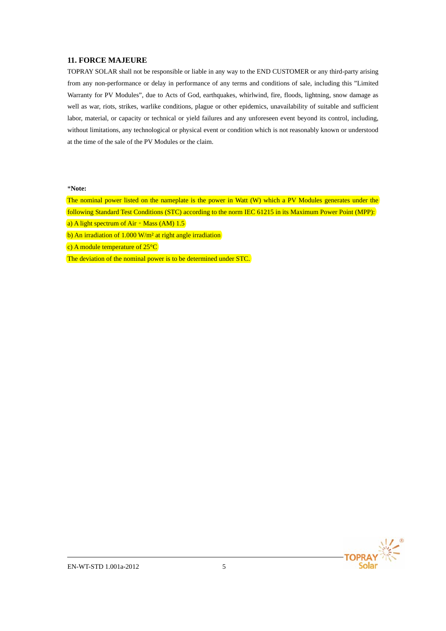# **11. FORCE MAJEURE**

TOPRAY SOLAR shall not be responsible or liable in any way to the END CUSTOMER or any third-party arising from any non-performance or delay in performance of any terms and conditions of sale, including this "Limited Warranty for PV Modules", due to Acts of God, earthquakes, whirlwind, fire, floods, lightning, snow damage as well as war, riots, strikes, warlike conditions, plague or other epidemics, unavailability of suitable and sufficient labor, material, or capacity or technical or yield failures and any unforeseen event beyond its control, including, without limitations, any technological or physical event or condition which is not reasonably known or understood at the time of the sale of the PV Modules or the claim.

#### \***Note:**

The nominal power listed on the nameplate is the power in Watt (W) which a PV Modules generates under the following Standard Test Conditions (STC) according to the norm IEC 61215 in its Maximum Power Point (MPP):

a) A light spectrum of Air - Mass (AM)  $1.5$ 

b) An irradiation of  $1.000 \text{ W/m}^2$  at right angle irradiation

c) A module temperature of 25°C

The deviation of the nominal power is to be determined under STC.